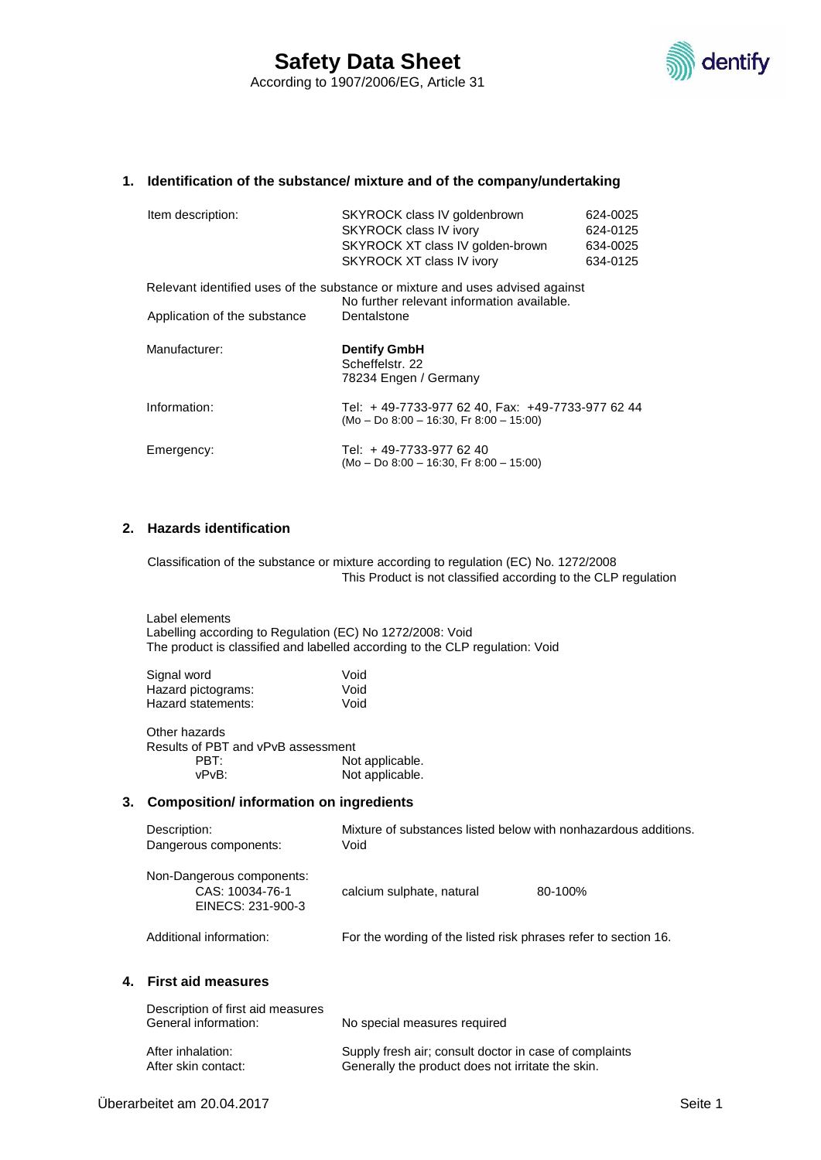

#### **1. Identification of the substance/ mixture and of the company/undertaking**

| Item description:                                                                                                           | SKYROCK class IV goldenbrown<br><b>SKYROCK class IV ivory</b><br>SKYROCK XT class IV golden-brown<br>SKYROCK XT class IV ivory | 624-0025<br>624-0125<br>634-0025<br>634-0125 |
|-----------------------------------------------------------------------------------------------------------------------------|--------------------------------------------------------------------------------------------------------------------------------|----------------------------------------------|
| Relevant identified uses of the substance or mixture and uses advised against<br>No further relevant information available. |                                                                                                                                |                                              |
| Application of the substance                                                                                                | Dentalstone                                                                                                                    |                                              |
| Manufacturer:                                                                                                               | <b>Dentify GmbH</b><br>Scheffelstr. 22<br>78234 Engen / Germany                                                                |                                              |
| Information:                                                                                                                | Tel: +49-7733-977 62 40, Fax: +49-7733-977 62 44<br>$(Mo - Do 8:00 - 16:30$ , Fr 8:00 - 15:00)                                 |                                              |
| Emergency:                                                                                                                  | Tel: +49-7733-977 62 40<br>$(Mo - Do 8.00 - 16.30, Fr 8.00 - 15.00)$                                                           |                                              |

## **2. Hazards identification**

Classification of the substance or mixture according to regulation (EC) No. 1272/2008 This Product is not classified according to the CLP regulation

Label elements Labelling according to Regulation (EC) No 1272/2008: Void The product is classified and labelled according to the CLP regulation: Void

| Void |
|------|
| Void |
| Void |
|      |

Other hazards Results of PBT and vPvB assessment PBT: Not applicable.<br>vPvB: Not applicable. Not applicable.

### **3. Composition/ information on ingredients**

| Description:<br>Dangerous components:                             | Mixture of substances listed below with nonhazardous additions.<br>Void |         |
|-------------------------------------------------------------------|-------------------------------------------------------------------------|---------|
| Non-Dangerous components:<br>CAS: 10034-76-1<br>EINECS: 231-900-3 | calcium sulphate, natural                                               | 80-100% |
| Additional information:                                           | For the wording of the listed risk phrases refer to section 16.         |         |

#### **4. First aid measures**

| Description of first aid measures<br>General information: | No special measures required                           |
|-----------------------------------------------------------|--------------------------------------------------------|
| After inhalation:                                         | Supply fresh air; consult doctor in case of complaints |
| After skin contact:                                       | Generally the product does not irritate the skin.      |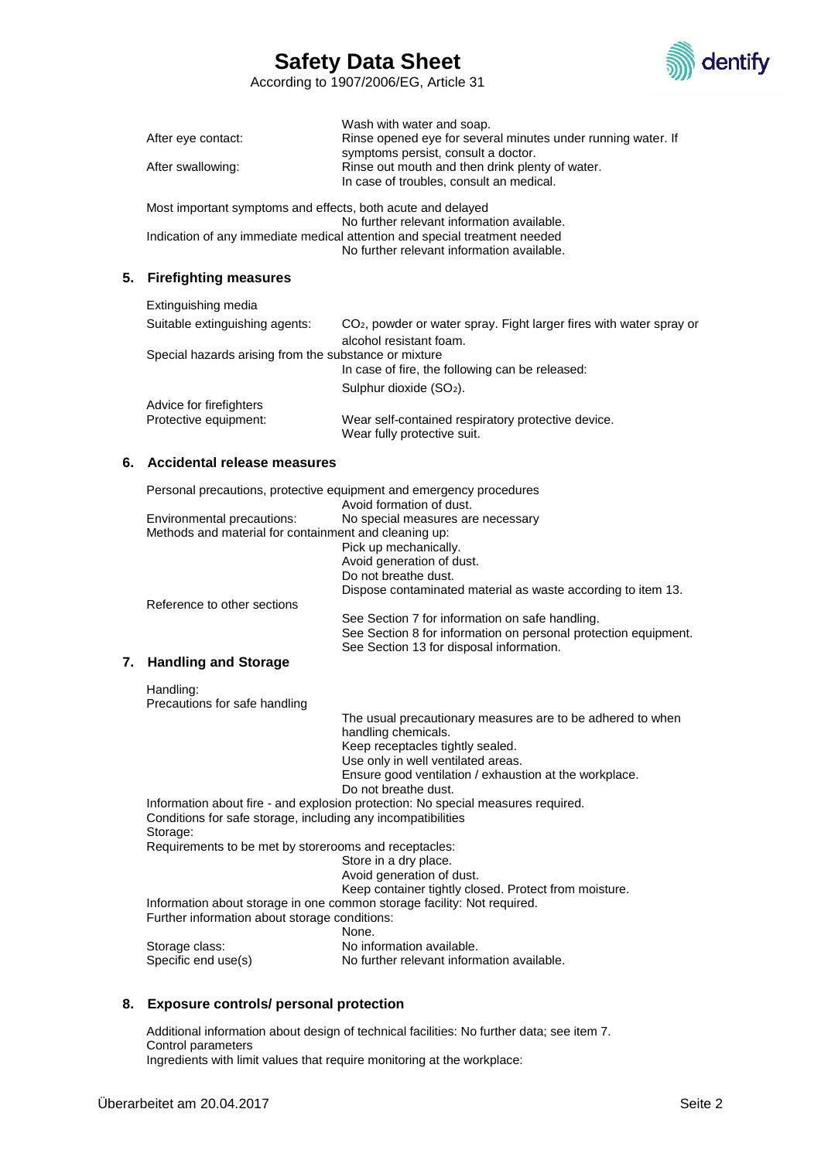

According to 1907/2006/EG, Article 31

|                    | Wash with water and soap.                                    |
|--------------------|--------------------------------------------------------------|
| After eye contact: | Rinse opened eve for several minutes under running water. If |
|                    | symptoms persist, consult a doctor.                          |
| After swallowing:  | Rinse out mouth and then drink plenty of water.              |
|                    | In case of troubles, consult an medical.                     |

Most important symptoms and effects, both acute and delayed No further relevant information available. Indication of any immediate medical attention and special treatment needed No further relevant information available.

## **5. Firefighting measures**

| Extinguishing media                                   |                                                                                 |
|-------------------------------------------------------|---------------------------------------------------------------------------------|
| Suitable extinguishing agents:                        | CO <sub>2</sub> , powder or water spray. Fight larger fires with water spray or |
|                                                       | alcohol resistant foam.                                                         |
| Special hazards arising from the substance or mixture |                                                                                 |
|                                                       | In case of fire, the following can be released:                                 |
|                                                       | Sulphur dioxide (SO <sub>2</sub> ).                                             |
| Advice for firefighters                               |                                                                                 |
| Protective equipment:                                 | Wear self-contained respiratory protective device.                              |
|                                                       | Wear fully protective suit.                                                     |

#### **6. Accidental release measures**

|    |                                                       | Personal precautions, protective equipment and emergency procedures<br>Avoid formation of dust. |
|----|-------------------------------------------------------|-------------------------------------------------------------------------------------------------|
|    | Environmental precautions:                            | No special measures are necessary                                                               |
|    | Methods and material for containment and cleaning up: |                                                                                                 |
|    |                                                       | Pick up mechanically.                                                                           |
|    |                                                       | Avoid generation of dust.                                                                       |
|    |                                                       | Do not breathe dust.                                                                            |
|    |                                                       | Dispose contaminated material as waste according to item 13.                                    |
|    | Reference to other sections                           |                                                                                                 |
|    |                                                       | See Section 7 for information on safe handling.                                                 |
|    |                                                       | See Section 8 for information on personal protection equipment.                                 |
|    |                                                       | See Section 13 for disposal information.                                                        |
| 7. | <b>Handling and Storage</b>                           |                                                                                                 |
|    | Handling:                                             |                                                                                                 |
|    | Precautions for safe handling                         |                                                                                                 |
|    |                                                       | The usual precautionary measures are to be adhered to when                                      |
|    |                                                       | handling chemicals.                                                                             |
|    |                                                       | Keen recentacles tightly sealed                                                                 |

ep receptacles tightly sealed. Use only in well ventilated areas. Ensure good ventilation / exhaustion at the workplace. Do not breathe dust. Information about fire - and explosion protection: No special measures required. Conditions for safe storage, including any incompatibilities Storage: Requirements to be met by storerooms and receptacles: Store in a dry place. Avoid generation of dust. Keep container tightly closed. Protect from moisture. Information about storage in one common storage facility: Not required. Further information about storage conditions: None.

Storage class: No information available. Specific end use(s) No further relevant information available.

# **8. Exposure controls/ personal protection**

Additional information about design of technical facilities: No further data; see item 7. Control parameters Ingredients with limit values that require monitoring at the workplace: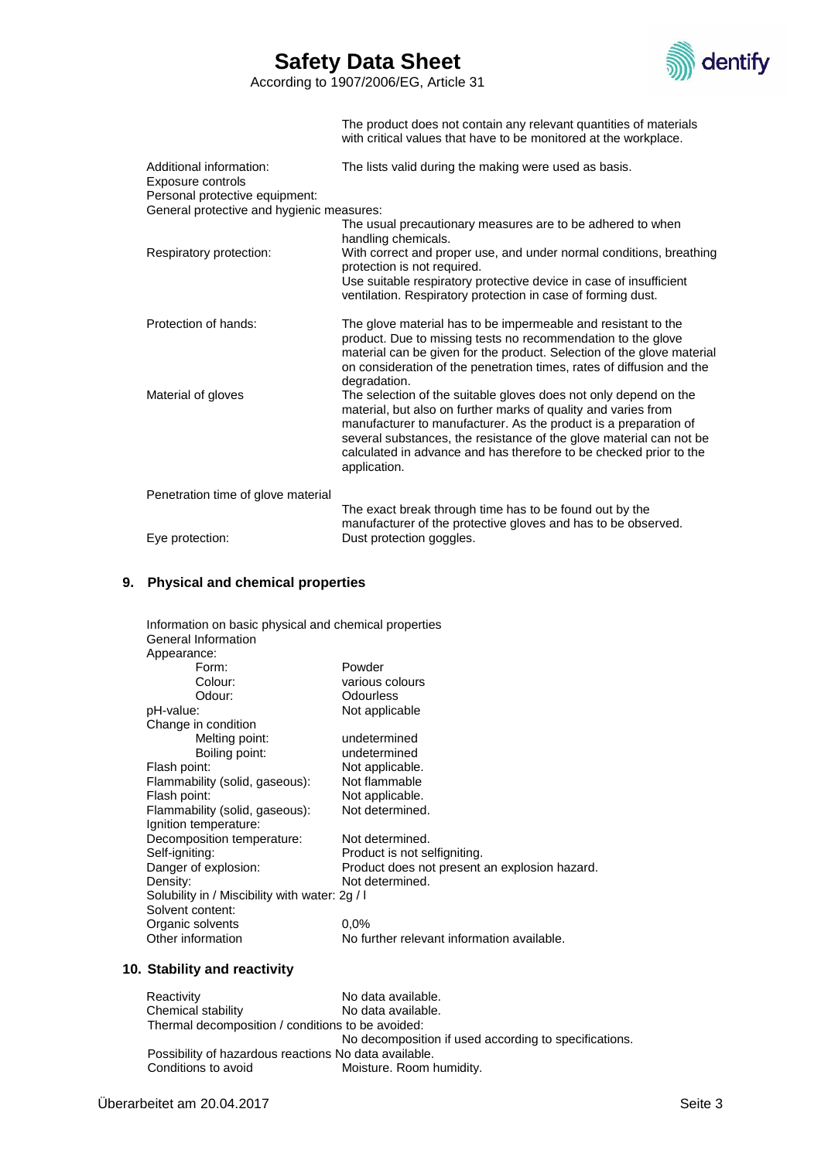

According to 1907/2006/EG, Article 31

The product does not contain any relevant quantities of materials with critical values that have to be monitored at the workplace.

| Additional information:<br>Exposure controls<br>Personal protective equipment: | The lists valid during the making were used as basis.                                                                                                                                                                                                                                                                                                               |
|--------------------------------------------------------------------------------|---------------------------------------------------------------------------------------------------------------------------------------------------------------------------------------------------------------------------------------------------------------------------------------------------------------------------------------------------------------------|
| General protective and hygienic measures:                                      |                                                                                                                                                                                                                                                                                                                                                                     |
|                                                                                | The usual precautionary measures are to be adhered to when<br>handling chemicals.                                                                                                                                                                                                                                                                                   |
| Respiratory protection:                                                        | With correct and proper use, and under normal conditions, breathing<br>protection is not required.                                                                                                                                                                                                                                                                  |
|                                                                                | Use suitable respiratory protective device in case of insufficient<br>ventilation. Respiratory protection in case of forming dust.                                                                                                                                                                                                                                  |
| Protection of hands:                                                           | The glove material has to be impermeable and resistant to the<br>product. Due to missing tests no recommendation to the glove<br>material can be given for the product. Selection of the glove material<br>on consideration of the penetration times, rates of diffusion and the<br>degradation.                                                                    |
| Material of gloves                                                             | The selection of the suitable gloves does not only depend on the<br>material, but also on further marks of quality and varies from<br>manufacturer to manufacturer. As the product is a preparation of<br>several substances, the resistance of the glove material can not be<br>calculated in advance and has therefore to be checked prior to the<br>application. |
| Penetration time of glove material                                             |                                                                                                                                                                                                                                                                                                                                                                     |
|                                                                                | The exact break through time has to be found out by the<br>manufacturer of the protective gloves and has to be observed.                                                                                                                                                                                                                                            |
| Eye protection:                                                                | Dust protection goggles.                                                                                                                                                                                                                                                                                                                                            |

### **9. Physical and chemical properties**

| Information on basic physical and chemical properties<br>General Information |                                               |  |
|------------------------------------------------------------------------------|-----------------------------------------------|--|
| Appearance:                                                                  |                                               |  |
| Form:                                                                        | Powder                                        |  |
| Colour:                                                                      | various colours                               |  |
|                                                                              |                                               |  |
| Odour:                                                                       | Odourless                                     |  |
| pH-value:                                                                    | Not applicable                                |  |
| Change in condition                                                          |                                               |  |
| Melting point:                                                               | undetermined                                  |  |
| Boiling point:                                                               | undetermined                                  |  |
| Flash point:                                                                 | Not applicable.                               |  |
| Flammability (solid, gaseous):                                               | Not flammable                                 |  |
| Flash point:                                                                 | Not applicable.                               |  |
| Flammability (solid, gaseous):                                               | Not determined.                               |  |
| Ignition temperature:                                                        |                                               |  |
| Decomposition temperature:                                                   | Not determined.                               |  |
| Self-igniting:                                                               | Product is not selfigniting.                  |  |
| Danger of explosion:                                                         | Product does not present an explosion hazard. |  |
| Density:                                                                     | Not determined.                               |  |
| Solubility in / Miscibility with water: 2g / I                               |                                               |  |
| Solvent content:                                                             |                                               |  |
| Organic solvents                                                             | $0.0\%$                                       |  |
| Other information                                                            | No further relevant information available.    |  |
|                                                                              |                                               |  |

### **10. Stability and reactivity**

Reactivity No data available.<br>Chemical stability No data available. No data available. Thermal decomposition / conditions to be avoided: No decomposition if used according to specifications. Possibility of hazardous reactions No data available.<br>Conditions to avoid Moisture. Room h Moisture. Room humidity.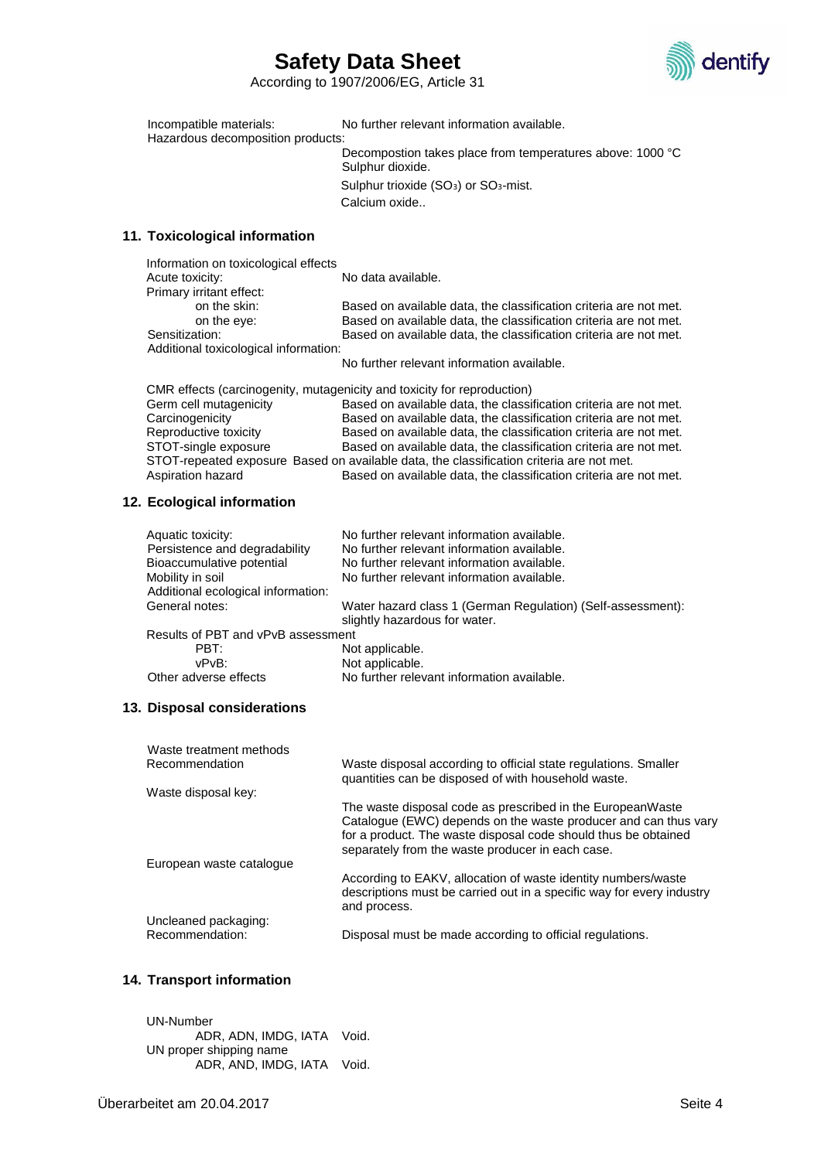

According to 1907/2006/EG, Article 31

Incompatible materials: No further relevant information available. Hazardous decomposition products: Decompostion takes place from temperatures above: 1000 °C Sulphur dioxide. Sulphur trioxide (SO<sub>3</sub>) or SO<sub>3</sub>-mist.

Calcium oxide..

#### **11. Toxicological information**

Information on toxicological effects Acute toxicity: No data available. Primary irritant effect:<br>on the skin: Based on available data, the classification criteria are not met. on the eye: Based on available data, the classification criteria are not met. Sensitization: Based on available data, the classification criteria are not met. Additional toxicological information: No further relevant information available.

CMR effects (carcinogenity, mutagenicity and toxicity for reproduction)

Based on available data, the classification criteria are not met. Carcinogenicity Based on available data, the classification criteria are not met. Reproductive toxicity Based on available data, the classification criteria are not met. STOT-single exposure Based on available data, the classification criteria are not met. STOT-repeated exposure Based on available data, the classification criteria are not met. Aspiration hazard Based on available data, the classification criteria are not met.

### **12. Ecological information**

| Aquatic toxicity:<br>Persistence and degradability | No further relevant information available.<br>No further relevant information available.     |  |
|----------------------------------------------------|----------------------------------------------------------------------------------------------|--|
| Bioaccumulative potential                          | No further relevant information available.                                                   |  |
| Mobility in soil                                   | No further relevant information available.                                                   |  |
| Additional ecological information:                 |                                                                                              |  |
| General notes:                                     | Water hazard class 1 (German Regulation) (Self-assessment):<br>slightly hazardous for water. |  |
| Results of PBT and vPvB assessment                 |                                                                                              |  |
| PBT:                                               | Not applicable.                                                                              |  |
| vPvB:                                              | Not applicable.                                                                              |  |
| Other adverse effects                              | No further relevant information available.                                                   |  |

#### **13. Disposal considerations**

| Waste treatment methods  |                                                                                                                                                                                                                                                     |
|--------------------------|-----------------------------------------------------------------------------------------------------------------------------------------------------------------------------------------------------------------------------------------------------|
| Recommendation           | Waste disposal according to official state regulations. Smaller<br>quantities can be disposed of with household waste.                                                                                                                              |
| Waste disposal key:      |                                                                                                                                                                                                                                                     |
|                          | The waste disposal code as prescribed in the EuropeanWaste<br>Catalogue (EWC) depends on the waste producer and can thus vary<br>for a product. The waste disposal code should thus be obtained<br>separately from the waste producer in each case. |
| European waste catalogue |                                                                                                                                                                                                                                                     |
|                          | According to EAKV, allocation of waste identity numbers/waste<br>descriptions must be carried out in a specific way for every industry<br>and process.                                                                                              |
| Uncleaned packaging:     |                                                                                                                                                                                                                                                     |
| Recommendation:          | Disposal must be made according to official regulations.                                                                                                                                                                                            |

# **14. Transport information**

UN-Number ADR, ADN, IMDG, IATA Void. UN proper shipping name ADR, AND, IMDG, IATA Void.